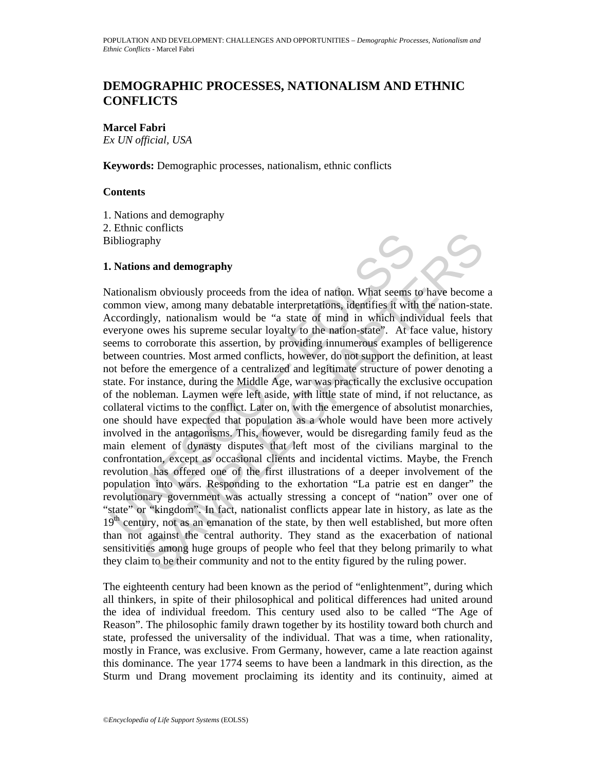## **DEMOGRAPHIC PROCESSES, NATIONALISM AND ETHNIC CONFLICTS**

**Marcel Fabri**

*Ex UN official, USA*

**Keywords:** Demographic processes, nationalism, ethnic conflicts

## **Contents**

1. Nations and demography 2. Ethnic conflicts Bibliography

## **1. Nations and demography**

ibliography<br>
ibliography<br>
ibliography<br>
ibliography<br>
idiography<br>
idiography<br>
ationalism obviously proceeds from the idea of nation. What seems<br>
tommon view, among many debatable interpretations, identifies it with<br>
cervey o Characteristics and demography<br>sism obviously proceeds from the idea of nation. What seems to have become<br>view, among many debatable interpretations, identifies if with the nation-state<br>gly, nationalism would be "a state o Nationalism obviously proceeds from the idea of nation. What seems to have become a common view, among many debatable interpretations, identifies it with the nation-state. Accordingly, nationalism would be "a state of mind in which individual feels that everyone owes his supreme secular loyalty to the nation-state". At face value, history seems to corroborate this assertion, by providing innumerous examples of belligerence between countries. Most armed conflicts, however, do not support the definition, at least not before the emergence of a centralized and legitimate structure of power denoting a state. For instance, during the Middle Age, war was practically the exclusive occupation of the nobleman. Laymen were left aside, with little state of mind, if not reluctance, as collateral victims to the conflict. Later on, with the emergence of absolutist monarchies, one should have expected that population as a whole would have been more actively involved in the antagonisms. This, however, would be disregarding family feud as the main element of dynasty disputes that left most of the civilians marginal to the confrontation, except as occasional clients and incidental victims. Maybe, the French revolution has offered one of the first illustrations of a deeper involvement of the population into wars. Responding to the exhortation "La patrie est en danger" the revolutionary government was actually stressing a concept of "nation" over one of "state" or "kingdom". In fact, nationalist conflicts appear late in history, as late as the 19<sup>th</sup> century, not as an emanation of the state, by then well established, but more often than not against the central authority. They stand as the exacerbation of national sensitivities among huge groups of people who feel that they belong primarily to what they claim to be their community and not to the entity figured by the ruling power.

The eighteenth century had been known as the period of "enlightenment", during which all thinkers, in spite of their philosophical and political differences had united around the idea of individual freedom. This century used also to be called "The Age of Reason". The philosophic family drawn together by its hostility toward both church and state, professed the universality of the individual. That was a time, when rationality, mostly in France, was exclusive. From Germany, however, came a late reaction against this dominance. The year 1774 seems to have been a landmark in this direction, as the Sturm und Drang movement proclaiming its identity and its continuity, aimed at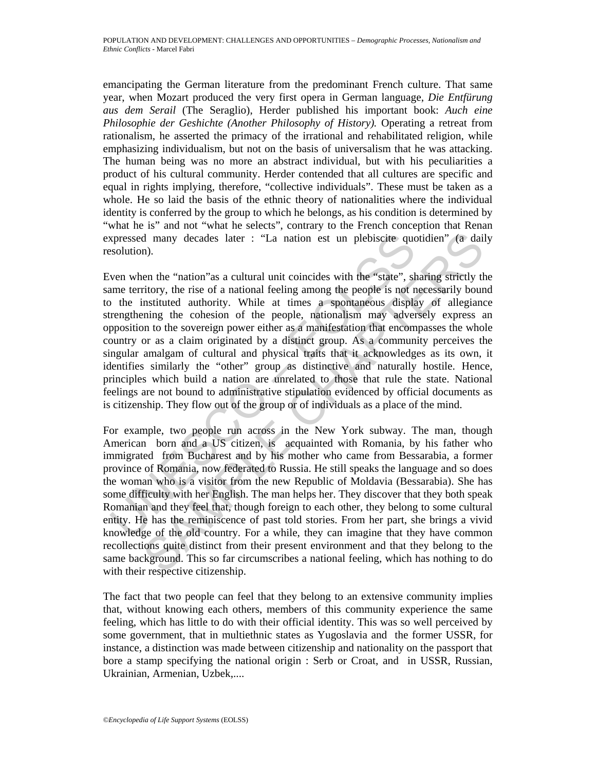emancipating the German literature from the predominant French culture. That same year, when Mozart produced the very first opera in German language, *Die Entfürung aus dem Serail* (The Seraglio), Herder published his important book: *Auch eine Philosophie der Geshichte (Another Philosophy of History).* Operating a retreat from rationalism, he asserted the primacy of the irrational and rehabilitated religion, while emphasizing individualism, but not on the basis of universalism that he was attacking. The human being was no more an abstract individual, but with his peculiarities a product of his cultural community. Herder contended that all cultures are specific and equal in rights implying, therefore, "collective individuals". These must be taken as a whole. He so laid the basis of the ethnic theory of nationalities where the individual identity is conferred by the group to which he belongs, as his condition is determined by "what he is" and not "what he selects", contrary to the French conception that Renan expressed many decades later : "La nation est un plebiscite quotidien" (a daily resolution).

xpressed many decades later : "La nation est un plebiscite que<br>solution).<br>Ven when the "nation"as a cultural unit coincides with the "state", sh<br>me territory, the rise of a national feeling among the people is not n<br>the in Even when the "nation"as a cultural unit coincides with the "state", sharing strictly the same territory, the rise of a national feeling among the people is not necessarily bound to the instituted authority. While at times a spontaneous display of allegiance strengthening the cohesion of the people, nationalism may adversely express an opposition to the sovereign power either as a manifestation that encompasses the whole country or as a claim originated by a distinct group. As a community perceives the singular amalgam of cultural and physical traits that it acknowledges as its own, it identifies similarly the "other" group as distinctive and naturally hostile. Hence, principles which build a nation are unrelated to those that rule the state. National feelings are not bound to administrative stipulation evidenced by official documents as is citizenship. They flow out of the group or of individuals as a place of the mind.

d many decades later : "La nation est un plebiscite quotidien" (a dail<br>n).<br>men the "nation"as a cultural unit coincides with the "state", sharing strictly the<br>intyry, the rise of a national feeling among the people is not For example, two people run across in the New York subway. The man, though American born and a US citizen, is acquainted with Romania, by his father who immigrated from Bucharest and by his mother who came from Bessarabia, a former province of Romania, now federated to Russia. He still speaks the language and so does the woman who is a visitor from the new Republic of Moldavia (Bessarabia). She has some difficulty with her English. The man helps her. They discover that they both speak Romanian and they feel that, though foreign to each other, they belong to some cultural entity. He has the reminiscence of past told stories. From her part, she brings a vivid knowledge of the old country. For a while, they can imagine that they have common recollections quite distinct from their present environment and that they belong to the same background. This so far circumscribes a national feeling, which has nothing to do with their respective citizenship.

The fact that two people can feel that they belong to an extensive community implies that, without knowing each others, members of this community experience the same feeling, which has little to do with their official identity. This was so well perceived by some government, that in multiethnic states as Yugoslavia and the former USSR, for instance, a distinction was made between citizenship and nationality on the passport that bore a stamp specifying the national origin : Serb or Croat, and in USSR, Russian, Ukrainian, Armenian, Uzbek,....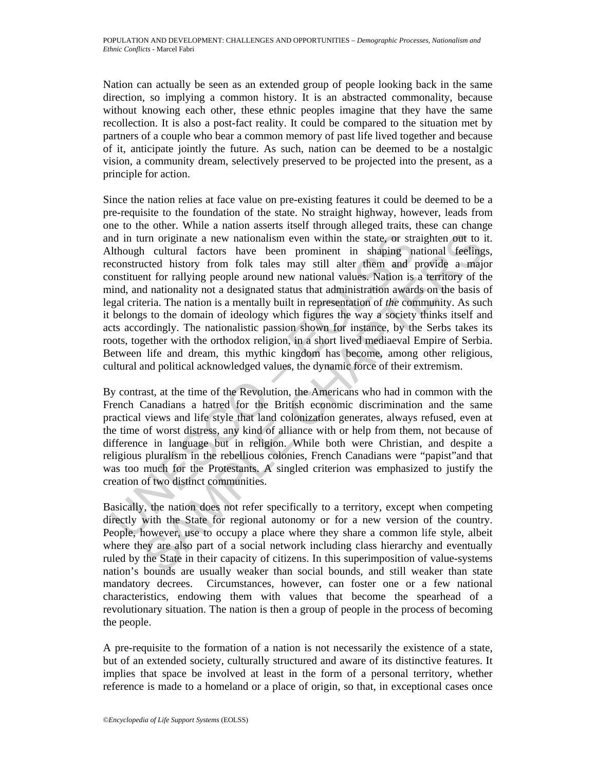Nation can actually be seen as an extended group of people looking back in the same direction, so implying a common history. It is an abstracted commonality, because without knowing each other, these ethnic peoples imagine that they have the same recollection. It is also a post-fact reality. It could be compared to the situation met by partners of a couple who bear a common memory of past life lived together and because of it, anticipate jointly the future. As such, nation can be deemed to be a nostalgic vision, a community dream, selectively preserved to be projected into the present, as a principle for action.

and in turn originate a new nationalism even within the state, or str. Uthough cultural factors have been prominent in shaping nifter them and I alter them and I alter them and I constituent for rallying people around new in originate a new nationalism even within the state, or straighten out to i<br>cultural factors have been prominent in shaping national feeding<br>tected history from folk tales may still alter them and provide a major<br>ent for Since the nation relies at face value on pre-existing features it could be deemed to be a pre-requisite to the foundation of the state. No straight highway, however, leads from one to the other. While a nation asserts itself through alleged traits, these can change and in turn originate a new nationalism even within the state, or straighten out to it. Although cultural factors have been prominent in shaping national feelings, reconstructed history from folk tales may still alter them and provide a major constituent for rallying people around new national values. Nation is a territory of the mind, and nationality not a designated status that administration awards on the basis of legal criteria. The nation is a mentally built in representation of *the* community. As such it belongs to the domain of ideology which figures the way a society thinks itself and acts accordingly. The nationalistic passion shown for instance, by the Serbs takes its roots, together with the orthodox religion, in a short lived mediaeval Empire of Serbia. Between life and dream, this mythic kingdom has become, among other religious, cultural and political acknowledged values, the dynamic force of their extremism.

By contrast, at the time of the Revolution, the Americans who had in common with the French Canadians a hatred for the British economic discrimination and the same practical views and life style that land colonization generates, always refused, even at the time of worst distress, any kind of alliance with or help from them, not because of difference in language but in religion. While both were Christian, and despite a religious pluralism in the rebellious colonies, French Canadians were "papist"and that was too much for the Protestants. A singled criterion was emphasized to justify the creation of two distinct communities.

Basically, the nation does not refer specifically to a territory, except when competing directly with the State for regional autonomy or for a new version of the country. People, however, use to occupy a place where they share a common life style, albeit where they are also part of a social network including class hierarchy and eventually ruled by the State in their capacity of citizens. In this superimposition of value-systems nation's bounds are usually weaker than social bounds, and still weaker than state mandatory decrees. Circumstances, however, can foster one or a few national characteristics, endowing them with values that become the spearhead of a revolutionary situation. The nation is then a group of people in the process of becoming the people.

A pre-requisite to the formation of a nation is not necessarily the existence of a state, but of an extended society, culturally structured and aware of its distinctive features. It implies that space be involved at least in the form of a personal territory, whether reference is made to a homeland or a place of origin, so that, in exceptional cases once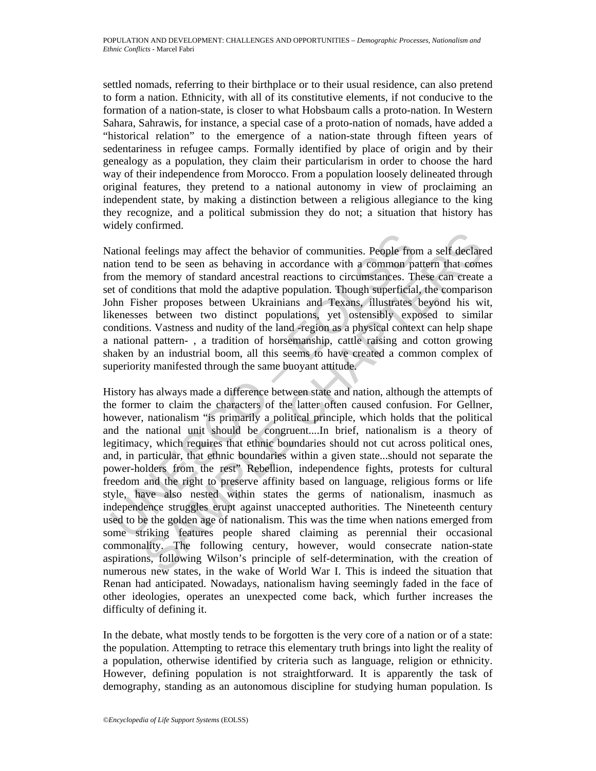settled nomads, referring to their birthplace or to their usual residence, can also pretend to form a nation. Ethnicity, with all of its constitutive elements, if not conducive to the formation of a nation-state, is closer to what Hobsbaum calls a proto-nation. In Western Sahara, Sahrawis, for instance, a special case of a proto-nation of nomads, have added a "historical relation" to the emergence of a nation-state through fifteen years of sedentariness in refugee camps. Formally identified by place of origin and by their genealogy as a population, they claim their particularism in order to choose the hard way of their independence from Morocco. From a population loosely delineated through original features, they pretend to a national autonomy in view of proclaiming an independent state, by making a distinction between a religious allegiance to the king they recognize, and a political submission they do not; a situation that history has widely confirmed.

National feelings may affect the behavior of communities. People from a self declared nation tend to be seen as behaving in accordance with a common pattern that comes from the memory of standard ancestral reactions to circumstances. These can create a set of conditions that mold the adaptive population. Though superficial, the comparison John Fisher proposes between Ukrainians and Texans, illustrates beyond his wit, likenesses between two distinct populations, yet ostensibly exposed to similar conditions. Vastness and nudity of the land -region as a physical context can help shape a national pattern- , a tradition of horsemanship, cattle raising and cotton growing shaken by an industrial boom, all this seems to have created a common complex of superiority manifested through the same buoyant attitude.

fational feelings may affect the behavior of communities. People from<br>ation tend to be seen as behaving in accordance with a common p<br>com the memory of standard ancestral reactions to circumstances. The<br>t of conditions tha feelings may affect the behavior of communities. People from a self declare<br>and to be seen as behaving in accordance with a common pattern that com<br>memory of standard ancestral reactions to circumstances. These can ereate<br> History has always made a difference between state and nation, although the attempts of the former to claim the characters of the latter often caused confusion. For Gellner, however, nationalism "is primarily a political principle, which holds that the political and the national unit should be congruent....In brief, nationalism is a theory of legitimacy, which requires that ethnic boundaries should not cut across political ones, and, in particular, that ethnic boundaries within a given state...should not separate the power-holders from the rest" Rebellion, independence fights, protests for cultural freedom and the right to preserve affinity based on language, religious forms or life style, have also nested within states the germs of nationalism, inasmuch as independence struggles erupt against unaccepted authorities. The Nineteenth century used to be the golden age of nationalism. This was the time when nations emerged from some striking features people shared claiming as perennial their occasional commonality. The following century, however, would consecrate nation-state aspirations, following Wilson's principle of self-determination, with the creation of numerous new states, in the wake of World War I. This is indeed the situation that Renan had anticipated. Nowadays, nationalism having seemingly faded in the face of other ideologies, operates an unexpected come back, which further increases the difficulty of defining it.

In the debate, what mostly tends to be forgotten is the very core of a nation or of a state: the population. Attempting to retrace this elementary truth brings into light the reality of a population, otherwise identified by criteria such as language, religion or ethnicity. However, defining population is not straightforward. It is apparently the task of demography, standing as an autonomous discipline for studying human population. Is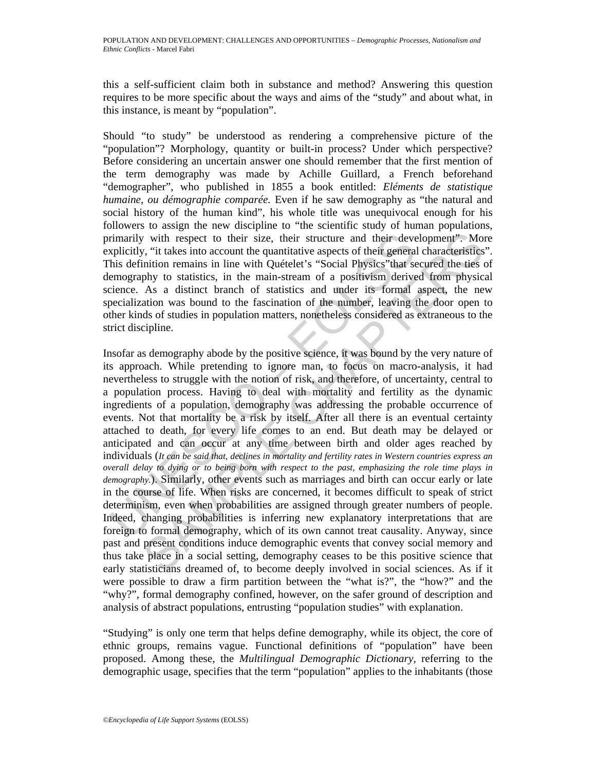this a self-sufficient claim both in substance and method? Answering this question requires to be more specific about the ways and aims of the "study" and about what, in this instance, is meant by "population".

Should "to study" be understood as rendering a comprehensive picture of the "population"? Morphology, quantity or built-in process? Under which perspective? Before considering an uncertain answer one should remember that the first mention of the term demography was made by Achille Guillard, a French beforehand "demographer", who published in 1855 a book entitled: *Eléments de statistique humaine, ou démographie comparée.* Even if he saw demography as "the natural and social history of the human kind", his whole title was unequivocal enough for his followers to assign the new discipline to "the scientific study of human populations, primarily with respect to their size, their structure and their development". More explicitly, "it takes into account the quantitative aspects of their general characteristics". This definition remains in line with Quételet's "Social Physics"that secured the ties of demography to statistics, in the main-stream of a positivism derived from physical science. As a distinct branch of statistics and under its formal aspect, the new specialization was bound to the fascination of the number, leaving the door open to other kinds of studies in population matters, nonetheless considered as extraneous to the strict discipline.

rimarily with respect to their size, their structure and their deverylicitly, "it takes into account the quantitative aspects of their generals in stream in the with Quételet's "Social Physsics" that sem emorgraphy to sta v with respect to their size, their structure and their development". Motive and their development". Motive and their and their development". Motive and the condition term and the quantitative aspects of their general cha Insofar as demography abode by the positive science, it was bound by the very nature of its approach. While pretending to ignore man, to focus on macro-analysis, it had nevertheless to struggle with the notion of risk, and therefore, of uncertainty, central to a population process. Having to deal with mortality and fertility as the dynamic ingredients of a population, demography was addressing the probable occurrence of events. Not that mortality be a risk by itself. After all there is an eventual certainty attached to death, for every life comes to an end. But death may be delayed or anticipated and can occur at any time between birth and older ages reached by individuals (*It can be said that, declines in mortality and fertility rates in Western countries express an overall delay to dying or to being born with respect to the past, emphasizing the role time plays in demography.*). Similarly, other events such as marriages and birth can occur early or late in the course of life. When risks are concerned, it becomes difficult to speak of strict determinism, even when probabilities are assigned through greater numbers of people. Indeed, changing probabilities is inferring new explanatory interpretations that are foreign to formal demography, which of its own cannot treat causality. Anyway, since past and present conditions induce demographic events that convey social memory and thus take place in a social setting, demography ceases to be this positive science that early statisticians dreamed of, to become deeply involved in social sciences. As if it were possible to draw a firm partition between the "what is?", the "how?" and the "why?", formal demography confined, however, on the safer ground of description and analysis of abstract populations, entrusting "population studies" with explanation.

"Studying" is only one term that helps define demography, while its object, the core of ethnic groups, remains vague. Functional definitions of "population" have been proposed. Among these, the *Multilingual Demographic Dictionary,* referring to the demographic usage, specifies that the term "population" applies to the inhabitants (those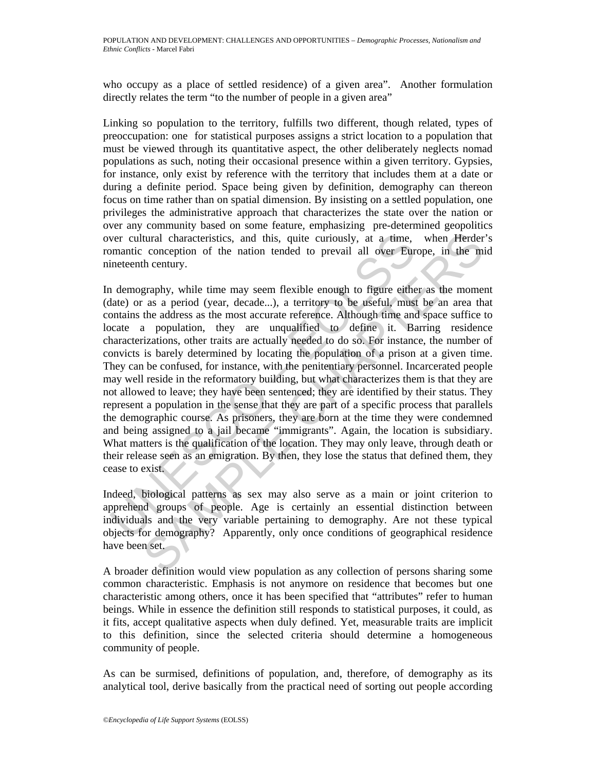who occupy as a place of settled residence) of a given area". Another formulation directly relates the term "to the number of people in a given area"

Linking so population to the territory, fulfills two different, though related, types of preoccupation: one for statistical purposes assigns a strict location to a population that must be viewed through its quantitative aspect, the other deliberately neglects nomad populations as such, noting their occasional presence within a given territory. Gypsies, for instance, only exist by reference with the territory that includes them at a date or during a definite period. Space being given by definition, demography can thereon focus on time rather than on spatial dimension. By insisting on a settled population, one privileges the administrative approach that characterizes the state over the nation or over any community based on some feature, emphasizing pre-determined geopolitics over cultural characteristics, and this, quite curiously, at a time, when Herder's romantic conception of the nation tended to prevail all over Europe, in the mid nineteenth century.

ver cultural characteristics, and this, quite curiously, at a time,<br>mantic conception of the nation tended to prevail all over Eur<br>ineteenth century.<br>1 demography, while time may seem flexible enough to figure eithe<br>atte) tural characteristics, and this, quite curiously, at a time, when Herder<br>conception of the nation tended to prevail all over Europe, in the mi<br>h century.<br>Strahle conception of the nation tended to prevail all over Europe, In demography, while time may seem flexible enough to figure either as the moment (date) or as a period (year, decade...), a territory to be useful, must be an area that contains the address as the most accurate reference. Although time and space suffice to locate a population, they are unqualified to define it. Barring residence characterizations, other traits are actually needed to do so. For instance, the number of convicts is barely determined by locating the population of a prison at a given time. They can be confused, for instance, with the penitentiary personnel. Incarcerated people may well reside in the reformatory building, but what characterizes them is that they are not allowed to leave; they have been sentenced; they are identified by their status. They represent a population in the sense that they are part of a specific process that parallels the demographic course. As prisoners, they are born at the time they were condemned and being assigned to a jail became "immigrants". Again, the location is subsidiary. What matters is the qualification of the location. They may only leave, through death or their release seen as an emigration. By then, they lose the status that defined them, they cease to exist.

Indeed, biological patterns as sex may also serve as a main or joint criterion to apprehend groups of people. Age is certainly an essential distinction between individuals and the very variable pertaining to demography. Are not these typical objects for demography? Apparently, only once conditions of geographical residence have been set.

A broader definition would view population as any collection of persons sharing some common characteristic. Emphasis is not anymore on residence that becomes but one characteristic among others, once it has been specified that "attributes" refer to human beings. While in essence the definition still responds to statistical purposes, it could, as it fits, accept qualitative aspects when duly defined. Yet, measurable traits are implicit to this definition, since the selected criteria should determine a homogeneous community of people.

As can be surmised, definitions of population, and, therefore, of demography as its analytical tool, derive basically from the practical need of sorting out people according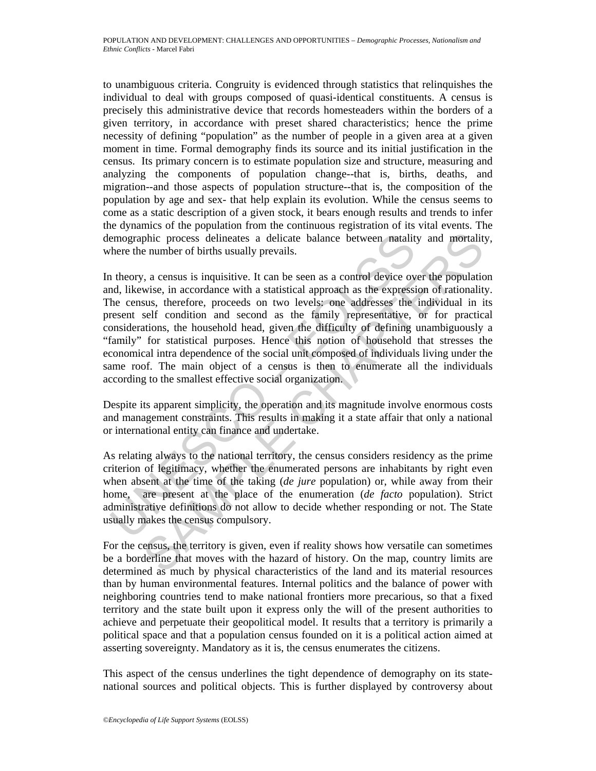to unambiguous criteria. Congruity is evidenced through statistics that relinquishes the individual to deal with groups composed of quasi-identical constituents. A census is precisely this administrative device that records homesteaders within the borders of a given territory, in accordance with preset shared characteristics; hence the prime necessity of defining "population" as the number of people in a given area at a given moment in time. Formal demography finds its source and its initial justification in the census. Its primary concern is to estimate population size and structure, measuring and analyzing the components of population change--that is, births, deaths, and migration--and those aspects of population structure--that is, the composition of the population by age and sex- that help explain its evolution. While the census seems to come as a static description of a given stock, it bears enough results and trends to infer the dynamics of the population from the continuous registration of its vital events. The demographic process delineates a delicate balance between natality and mortality, where the number of births usually prevails.

emographic process delineates a delicate balance between natality<br>there the number of births usually prevails.<br>
theory, a census is inquisitive. It can be seen as a control device ov<br>
add, likewise, in accordance with a s phic process delineates a delicate balance between natality and mortality<br>enumber of births usually prevails.<br>  $\alpha$ , a census is inquisitive. It can be seen as a control device over the populatio<br>
wise, in accordance with In theory, a census is inquisitive. It can be seen as a control device over the population and, likewise, in accordance with a statistical approach as the expression of rationality. The census, therefore, proceeds on two levels: one addresses the individual in its present self condition and second as the family representative, or for practical considerations, the household head, given the difficulty of defining unambiguously a "family" for statistical purposes. Hence this notion of household that stresses the economical intra dependence of the social unit composed of individuals living under the same roof. The main object of a census is then to enumerate all the individuals according to the smallest effective social organization.

Despite its apparent simplicity, the operation and its magnitude involve enormous costs and management constraints. This results in making it a state affair that only a national or international entity can finance and undertake.

As relating always to the national territory, the census considers residency as the prime criterion of legitimacy, whether the enumerated persons are inhabitants by right even when absent at the time of the taking (*de jure* population) or, while away from their home, are present at the place of the enumeration (*de facto* population). Strict administrative definitions do not allow to decide whether responding or not. The State usually makes the census compulsory.

For the census, the territory is given, even if reality shows how versatile can sometimes be a borderline that moves with the hazard of history. On the map, country limits are determined as much by physical characteristics of the land and its material resources than by human environmental features. Internal politics and the balance of power with neighboring countries tend to make national frontiers more precarious, so that a fixed territory and the state built upon it express only the will of the present authorities to achieve and perpetuate their geopolitical model. It results that a territory is primarily a political space and that a population census founded on it is a political action aimed at asserting sovereignty. Mandatory as it is, the census enumerates the citizens.

This aspect of the census underlines the tight dependence of demography on its statenational sources and political objects. This is further displayed by controversy about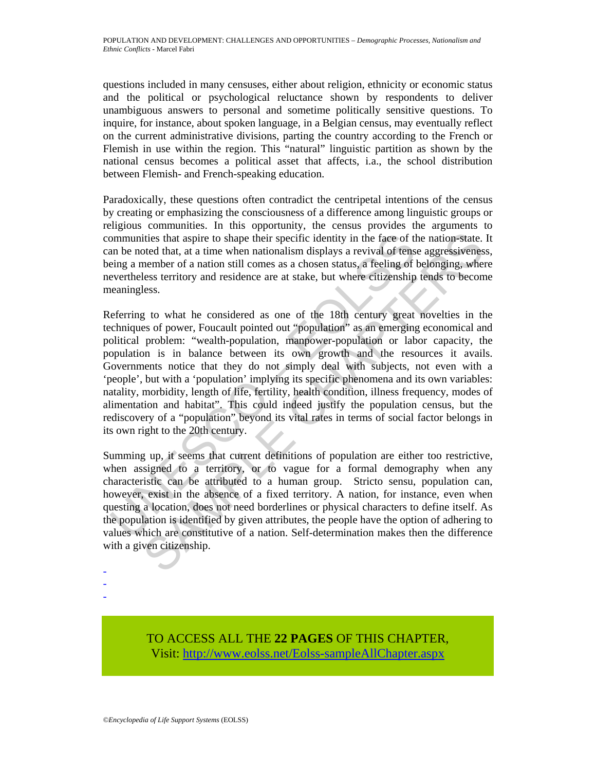questions included in many censuses, either about religion, ethnicity or economic status and the political or psychological reluctance shown by respondents to deliver unambiguous answers to personal and sometime politically sensitive questions. To inquire, for instance, about spoken language, in a Belgian census, may eventually reflect on the current administrative divisions, parting the country according to the French or Flemish in use within the region. This "natural" linguistic partition as shown by the national census becomes a political asset that affects, i.a., the school distribution between Flemish- and French-speaking education.

Paradoxically, these questions often contradict the centripetal intentions of the census by creating or emphasizing the consciousness of a difference among linguistic groups or religious communities. In this opportunity, the census provides the arguments to communities that aspire to shape their specific identity in the face of the nation-state. It can be noted that, at a time when nationalism displays a revival of tense aggressiveness, being a member of a nation still comes as a chosen status, a feeling of belonging, where nevertheless territory and residence are at stake, but where citizenship tends to become meaningless.

ommunities that aspire to shape their specific identity in the face of the mare bottod that, at a time when nationalism displays a revival of tensure in a member of a nation still comes as a chosen status, a feeling of lev ities that aspire to shape their specific identity in the face of the nation-state.<br>
betecht that, at a time when nationalism displays a revival of tense aggressiveness<br>
benember of a nation still comes as a chosen status, Referring to what he considered as one of the 18th century great novelties in the techniques of power, Foucault pointed out "population" as an emerging economical and political problem: "wealth-population, manpower-population or labor capacity, the population is in balance between its own growth and the resources it avails. Governments notice that they do not simply deal with subjects, not even with a 'people', but with a 'population' implying its specific phenomena and its own variables: natality, morbidity, length of life, fertility, health condition, illness frequency, modes of alimentation and habitat". This could indeed justify the population census, but the rediscovery of a "population" beyond its vital rates in terms of social factor belongs in its own right to the 20th century.

Summing up, it seems that current definitions of population are either too restrictive, when assigned to a territory, or to vague for a formal demography when any characteristic can be attributed to a human group. Stricto sensu, population can, however, exist in the absence of a fixed territory. A nation, for instance, even when questing a location, does not need borderlines or physical characters to define itself. As the population is identified by given attributes, the people have the option of adhering to values which are constitutive of a nation. Self-determination makes then the difference with a given citizenship.

- -
- -

TO ACCESS ALL THE **22 PAGES** OF THIS CHAPTER, Visit[: http://www.eolss.net/Eolss-sampleAllChapter.aspx](https://www.eolss.net/ebooklib/sc_cart.aspx?File=E1-13-04-04)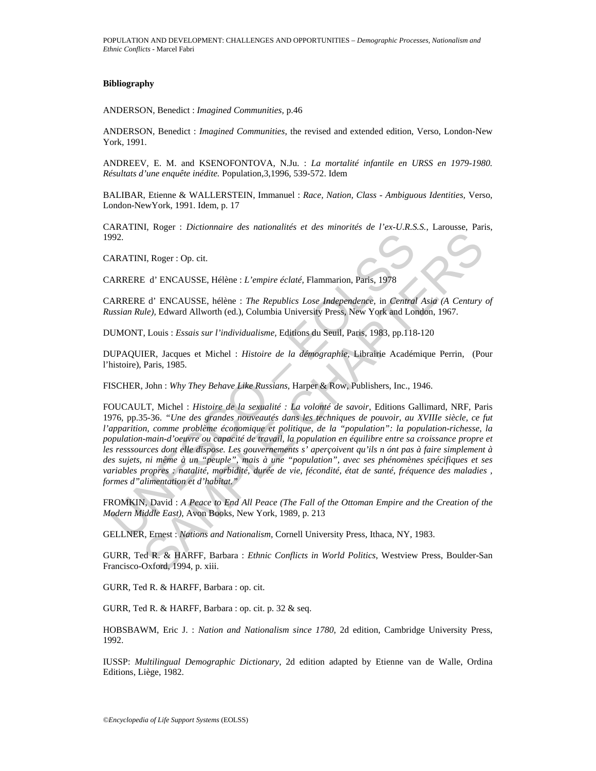## **Bibliography**

ANDERSON, Benedict : *Imagined Communities,* p.46

ANDERSON, Benedict : *Imagined Communities*, the revised and extended edition, Verso, London-New York, 1991.

ANDREEV, E. M. and KSENOFONTOVA, N.Ju. : *La mortalité infantile en URSS en 1979-1980. Résultats d'une enquête inédite.* Population,3,1996, 539-572. Idem

BALIBAR, Etienne & WALLERSTEIN, Immanuel : *Race, Nation, Class - Ambiguous Identities,* Verso, London-NewYork, 1991. Idem, p. 17

CARATINI, Roger : *Dictionnaire des nationalités et des minorités de l'ex-U.R.S.S.*, Larousse, Paris, 1992.

CARATINI, Roger : Op. cit.

CARRERE d' ENCAUSSE, Hélène : *L'empire éclaté,* Flammarion, Paris, 1978

CARRERE d' ENCAUSSE, hélène : *The Republics Lose Independence,* in *Central Asia (A Century of Russian Rule),* Edward Allworth (ed.), Columbia University Press, New York and London, 1967.

DUMONT, Louis : *Essais sur l'individualisme,* Editions du Seuil, Paris, 1983, pp.118-120

DUPAQUIER, Jacques et Michel : *Histoire de la démographie,* Librairie Académique Perrin, (Pour l'histoire), Paris, 1985.

FISCHER, John : *Why They Behave Like Russians,* Harper & Row, Publishers, Inc., 1946.

992.<br>
ARATINI, Roger : Op. cit.<br>
ARRERE d' ENCAUSSE, Hélène : L'empire éclaté, Flammarion, Paris, 1978<br>
ARRERE d' ENCAUSSE, hélène : *The Republics Lose Independence*, in *Central*<br>
ussian Rule), Edward Allworth (ed.), Col II, Roger : Op. cit.<br>
E d' ENCAUSSE, Hélène : L'empire éclaté, Flammarion, Paris, 1978<br>
5 d' ENCAUSSE, hélène : The Republics Lose Independence, in Central Asia (A Century :<br>
de). Edward Allworth (ed.), Columbia Universit FOUCAULT, Michel : *Histoire de la sexualité : La volonté de savoir*, Editions Gallimard, NRF, Paris 1976, pp.35-36. *"Une des grandes nouveautés dans les techniques de pouvoir, au XVIIIe siècle, ce fut l'apparition, comme problème économique et politique, de la "population": la population-richesse, la population-main-d'oeuvre ou capacité de travail, la population en équilibre entre sa croissance propre et les resssources dont elle dispose. Les gouvernements s' aperçoivent qu'ils n ónt pas à faire simplement à des sujets, ni même à un "peuple", mais à une "population", avec ses phénomènes spécifiques et ses variables propres : natalité, morbidité, durée de vie, fécondité, état de santé, fréquence des maladies , formes d"alimentation et d'habitat."* 

FROMKIN, David : *A Peace to End All Peace (The Fall of the Ottoman Empire and the Creation of the Modern Middle East),* Avon Books, New York, 1989, p. 213

GELLNER, Ernest : *Nations and Nationalism,* Cornell University Press, Ithaca, NY, 1983.

GURR, Ted R. & HARFF, Barbara : *Ethnic Conflicts in World Politics*, Westview Press, Boulder-San Francisco-Oxford, 1994, p. xiii.

GURR, Ted R. & HARFF, Barbara : op. cit.

GURR, Ted R. & HARFF, Barbara : op. cit. p. 32 & seq.

HOBSBAWM, Eric J. : *Nation and Nationalism since 1780*, 2d edition, Cambridge University Press, 1992.

IUSSP: *Multilingual Demographic Dictionary*, 2d edition adapted by Etienne van de Walle, Ordina Editions, Liège, 1982.